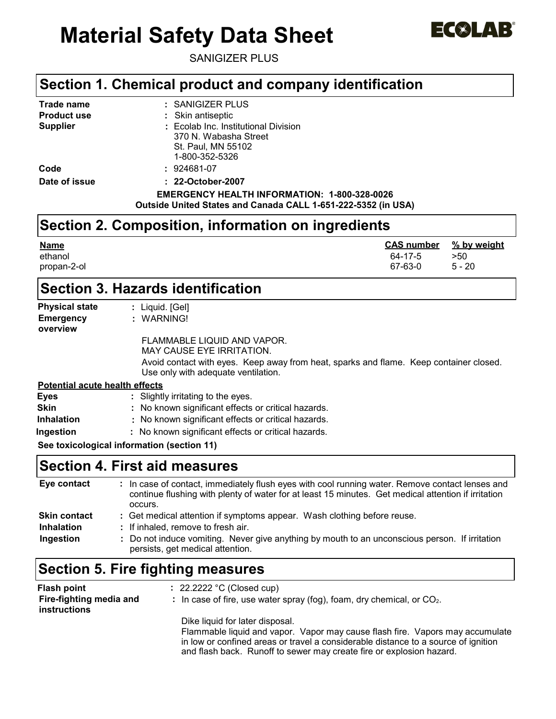# **Material Safety Data Sheet**



SANIGIZER PLUS

### **Section 1. Chemical product and company identification**

| Trade name         | : SANIGIZER PLUS                                              |  |  |
|--------------------|---------------------------------------------------------------|--|--|
| <b>Product use</b> | : Skin antiseptic                                             |  |  |
| <b>Supplier</b>    | : Ecolab Inc. Institutional Division                          |  |  |
|                    | 370 N. Wabasha Street                                         |  |  |
|                    | St. Paul, MN 55102                                            |  |  |
|                    | 1-800-352-5326                                                |  |  |
| Code               | : 924681-07                                                   |  |  |
| Date of issue      | : 22-October-2007                                             |  |  |
|                    | EMERGENCY HEALTH INFORMATION: 1-800-328-0026                  |  |  |
|                    | Outside United States and Canada CALL 1-651-222-5352 (in USA) |  |  |

### **Section 2. Composition, information on ingredients**

| <b>Name</b> | <b>CAS number</b> | % by weight |
|-------------|-------------------|-------------|
| ethanol     | 64-17-5           | >50         |
| propan-2-ol | 67-63-0           | $5 - 20$    |

### **Section 3. Hazards identification**

| <b>Physical state</b>                 | : Liquid. $[Gel]$                                                                                                             |
|---------------------------------------|-------------------------------------------------------------------------------------------------------------------------------|
| <b>Emergency</b><br>overview          | : WARNING!                                                                                                                    |
|                                       | FLAMMABLE LIQUID AND VAPOR.<br><b>MAY CAUSE EYE IRRITATION.</b>                                                               |
|                                       | Avoid contact with eyes. Keep away from heat, sparks and flame. Keep container closed.<br>Use only with adequate ventilation. |
| <b>Potential acute health effects</b> |                                                                                                                               |
| <b>Eyes</b>                           | : Slightly irritating to the eyes.                                                                                            |
| <b>Skin</b>                           | : No known significant effects or critical hazards.                                                                           |
| <b>Inhalation</b>                     | : No known significant effects or critical hazards.                                                                           |
| Ingestion                             | : No known significant effects or critical hazards.                                                                           |
|                                       | See toxicological information (section 11)                                                                                    |

### **Section 4. First aid measures**

| Eye contact         | In case of contact, immediately flush eyes with cool running water. Remove contact lenses and<br>continue flushing with plenty of water for at least 15 minutes. Get medical attention if irritation<br>occurs. |
|---------------------|-----------------------------------------------------------------------------------------------------------------------------------------------------------------------------------------------------------------|
| <b>Skin contact</b> | : Get medical attention if symptoms appear. Wash clothing before reuse.                                                                                                                                         |
| <b>Inhalation</b>   | : If inhaled, remove to fresh air.                                                                                                                                                                              |
| Ingestion           | : Do not induce vomiting. Never give anything by mouth to an unconscious person. If irritation<br>persists, get medical attention.                                                                              |

## **Section 5. Fire fighting measures**

| Flash point<br>Fire-fighting media and<br>instructions | $\therefore$ 22.2222 °C (Closed cup)<br>: In case of fire, use water spray (fog), foam, dry chemical, or $CO2$ .                                                                                                                                                               |
|--------------------------------------------------------|--------------------------------------------------------------------------------------------------------------------------------------------------------------------------------------------------------------------------------------------------------------------------------|
|                                                        | Dike liquid for later disposal.<br>Flammable liquid and vapor. Vapor may cause flash fire. Vapors may accumulate<br>in low or confined areas or travel a considerable distance to a source of ignition<br>and flash back. Runoff to sewer may create fire or explosion hazard. |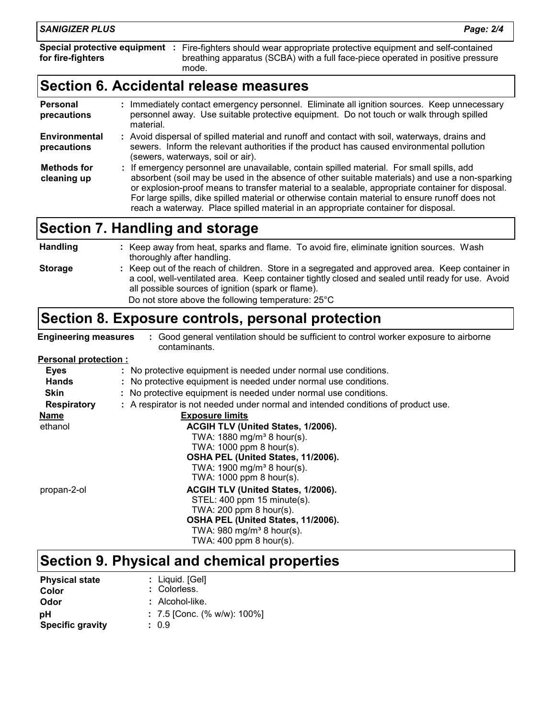| <b>Personal</b><br>precautions    | Immediately contact emergency personnel. Eliminate all ignition sources. Keep unnecessary<br>personnel away. Use suitable protective equipment. Do not touch or walk through spilled<br>material.                                                                                                                                                                                                  |
|-----------------------------------|----------------------------------------------------------------------------------------------------------------------------------------------------------------------------------------------------------------------------------------------------------------------------------------------------------------------------------------------------------------------------------------------------|
| Environmental<br>precautions      | : Avoid dispersal of spilled material and runoff and contact with soil, waterways, drains and<br>sewers. Inform the relevant authorities if the product has caused environmental pollution<br>(sewers, waterways, soil or air).                                                                                                                                                                    |
| <b>Methods for</b><br>cleaning up | : If emergency personnel are unavailable, contain spilled material. For small spills, add<br>absorbent (soil may be used in the absence of other suitable materials) and use a non-sparking<br>or explosion-proof means to transfer material to a sealable, appropriate container for disposal.<br>For large spills, dike spilled material or otherwise contain material to ensure runoff does not |

reach a waterway. Place spilled material in an appropriate container for disposal.

### **Section 7. Handling and storage**

thoroughly after handling.

**Engineering measures :** Good general ventilation should be sufficient to control worker exposure to airborne contaminants.

Keep out of the reach of children. Store in a segregated and approved area. Keep container in **:** a cool, well-ventilated area. Keep container tightly closed and sealed until ready for use. Avoid

**:** Keep away from heat, sparks and flame. To avoid fire, eliminate ignition sources. Wash

### **Personal protection :**

**Handling**

**Storage**

| : No protective equipment is needed under normal use conditions.                  |  |  |  |
|-----------------------------------------------------------------------------------|--|--|--|
| : No protective equipment is needed under normal use conditions.                  |  |  |  |
| : No protective equipment is needed under normal use conditions.                  |  |  |  |
| : A respirator is not needed under normal and intended conditions of product use. |  |  |  |
| <b>Exposure limits</b>                                                            |  |  |  |
| ACGIH TLV (United States, 1/2006).                                                |  |  |  |
| TWA: $1880$ mg/m <sup>3</sup> 8 hour(s).                                          |  |  |  |
| TWA: 1000 ppm 8 hour(s).                                                          |  |  |  |
| OSHA PEL (United States, 11/2006).                                                |  |  |  |
| TWA: $1900 \text{ mg/m}^3$ 8 hour(s).                                             |  |  |  |
| TWA: 1000 ppm 8 hour(s).                                                          |  |  |  |
| ACGIH TLV (United States, 1/2006).                                                |  |  |  |
| STEL: 400 ppm 15 minute(s).                                                       |  |  |  |
| TWA: $200$ ppm 8 hour(s).                                                         |  |  |  |
| OSHA PEL (United States, 11/2006).                                                |  |  |  |
| TWA: $980 \text{ mg/m}^3$ 8 hour(s).                                              |  |  |  |
| TWA: $400$ ppm 8 hour(s).                                                         |  |  |  |
|                                                                                   |  |  |  |

all possible sources of ignition (spark or flame).

**Section 8. Exposure controls, personal protection**

Do not store above the following temperature: 25°C

### **Section 9. Physical and chemical properties**

| <b>Physical state</b>   | $:$ Liquid. $[Gel]$           |
|-------------------------|-------------------------------|
| Color                   | : Colorless.                  |
| Odor                    | $:$ Alcohol-like.             |
| рH                      | $: 7.5$ [Conc. (% w/w): 100%] |
| <b>Specific gravity</b> | : 0.9                         |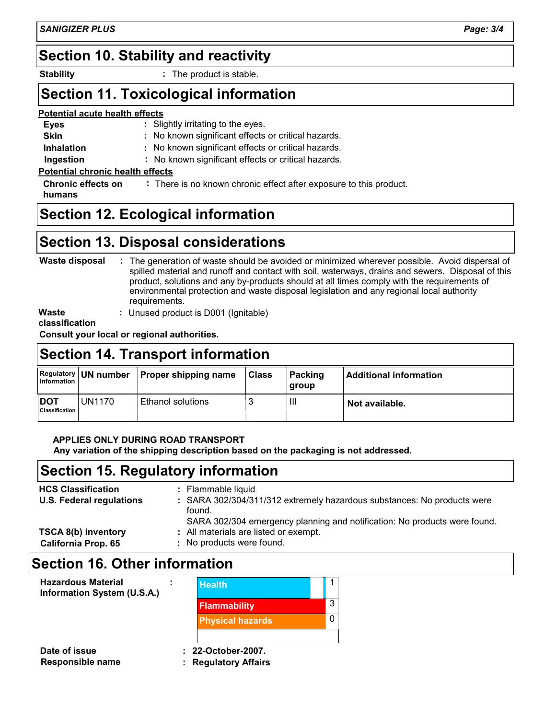### **Section 10. Stability and reactivity**

**Stability :**

: The product is stable.

### **Section 11. Toxicological information**

#### **Potential acute health effects**

- No known significant effects or critical hazards. **:** Slightly irritating to the eyes. **:** No known significant effects or critical hazards. **: Eyes Skin Inhalation Ingestion**
	- No known significant effects or critical hazards. **:**

### **Potential chronic health effects**

**Chronic effects on** : There is no known chronic effect after exposure to this product. **humans**

### **Section 12. Ecological information**

### **Section 13. Disposal considerations**

#### The generation of waste should be avoided or minimized wherever possible. Avoid dispersal of **:** spilled material and runoff and contact with soil, waterways, drains and sewers. Disposal of this product, solutions and any by-products should at all times comply with the requirements of environmental protection and waste disposal legislation and any regional local authority requirements. **Waste disposal**

**Waste**

**:** Unused product is D001 (Ignitable)

**classification**

**Consult your local or regional authorities.**

### **Section 14. Transport information**

| information                  |               | Regulatory   UN number   Proper shipping name | <b>Class</b> | Packing<br><b>group</b> | <b>Additional information</b> |
|------------------------------|---------------|-----------------------------------------------|--------------|-------------------------|-------------------------------|
| <b>DOT</b><br>Classification | <b>UN1170</b> | l Ethanol solutions⊢                          |              | Ш                       | Not available.                |

### **APPLIES ONLY DURING ROAD TRANSPORT**

**Any variation of the shipping description based on the packaging is not addressed.**

### **Section 15. Regulatory information**

| <b>HCS Classification</b><br><b>U.S. Federal regulations</b> | : Flammable liquid<br>: SARA 302/304/311/312 extremely hazardous substances: No products were<br>found.                                         |
|--------------------------------------------------------------|-------------------------------------------------------------------------------------------------------------------------------------------------|
| <b>TSCA 8(b) inventory</b><br><b>California Prop. 65</b>     | SARA 302/304 emergency planning and notification: No products were found.<br>: All materials are listed or exempt.<br>: No products were found. |

### **: Section 16. Other information**

**Date of issue : 22-October-2007. Hazardous Material Health Information System (U.S.A.)** 1 3 0 **Flammability Physical hazards**

- 
- **Responsible name : Regulatory Affairs**